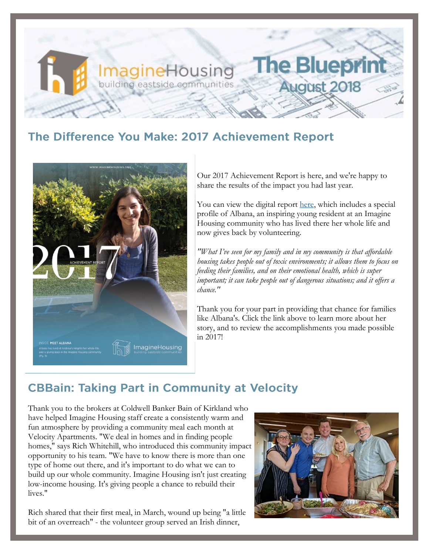# **The Bluepri ImagineHousing** building eastside communities **August 2018**

### The Difference You Make: 2017 Achievement Report



Our 2017 Achievement Report is here, and we're happy to share the results of the impact you had last year.

You can view the digital report [here,](https://imaginehousing.org/wp-content/uploads/2017-Imagine-Housing-Digital-Annual-Report.pdf) which includes a special profile of Albana, an inspiring young resident at an Imagine Housing community who has lived there her whole life and now gives back by volunteering.

*"What I've seen for my family and in my community is that affordable housing takes people out of toxic environments; it allows them to focus on feeding their families, and on their emotional health, which is super important; it can take people out of dangerous situations; and it offers a chance."*

Thank you for your part in providing that chance for families like Albana's. Click the link above to learn more about her story, and to review the accomplishments you made possible in 2017!

### **CBBain: Taking Part in Community at Velocity**

Thank you to the brokers at Coldwell Banker Bain of Kirkland who have helped Imagine Housing staff create a consistently warm and fun atmosphere by providing a community meal each month at Velocity Apartments. "We deal in homes and in finding people homes," says Rich Whitehill, who introduced this community impact opportunity to his team. "We have to know there is more than one type of home out there, and it's important to do what we can to build up our whole community. Imagine Housing isn't just creating low-income housing. It's giving people a chance to rebuild their lives."

Rich shared that their first meal, in March, wound up being "a little bit of an overreach" - the volunteer group served an Irish dinner,

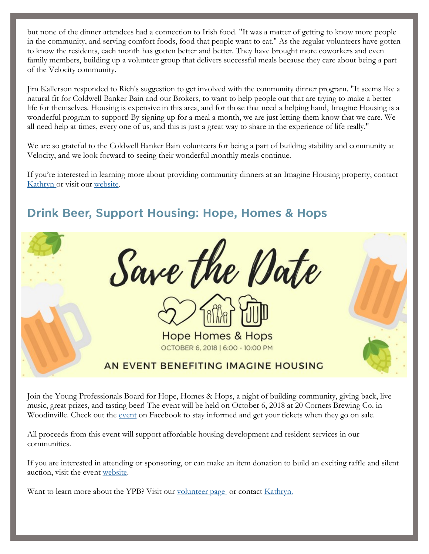but none of the dinner attendees had a connection to Irish food. "It was a matter of getting to know more people in the community, and serving comfort foods, food that people want to eat." As the regular volunteers have gotten to know the residents, each month has gotten better and better. They have brought more coworkers and even family members, building up a volunteer group that delivers successful meals because they care about being a part of the Velocity community.

Jim Kallerson responded to Rich's suggestion to get involved with the community dinner program. "It seems like a natural fit for Coldwell Banker Bain and our Brokers, to want to help people out that are trying to make a better life for themselves. Housing is expensive in this area, and for those that need a helping hand, Imagine Housing is a wonderful program to support! By signing up for a meal a month, we are just letting them know that we care. We all need help at times, every one of us, and this is just a great way to share in the experience of life really."

We are so grateful to the Coldwell Banker Bain volunteers for being a part of building stability and community at Velocity, and we look forward to seeing their wonderful monthly meals continue.

If you're interested in learning more about providing community dinners at an Imagine Housing property, contact [Kathryn or](mailto:kathrynj@imaginehousing.org) visit our [website.](http://www.imaginehousing.org/get-involved/volunteer)

# Save the Date **Hope Homes & Hops** OCTOBER 6, 2018 | 6:00 - 10:00 PM AN EVENT BENEFITING IMAGINE HOUSING

Join the Young Professionals Board for Hope, Homes & Hops, a night of building community, giving back, live music, great prizes, and tasting beer! The event will be held on October 6, 2018 at 20 Corners Brewing Co. in Woodinville. Check out the [event](https://www.facebook.com/events/1652083348247025/) on Facebook to stay informed and get your tickets when they go on sale.

All proceeds from this event will support affordable housing development and resident services in our communities.

If you are interested in attending or sponsoring, or can make an item donation to build an exciting raffle and silent auction, visit the event [website.](https://one.bidpal.net/ypbimagine/welcome)

Want to learn more about the YPB? Visit our [volunteer page](http://www.imaginehousing.org/get-involved/volunteer) or contact [Kathryn.](mailto:%20kathrynj@imaginehousing.org)

## **Drink Beer, Support Housing: Hope, Homes & Hops**